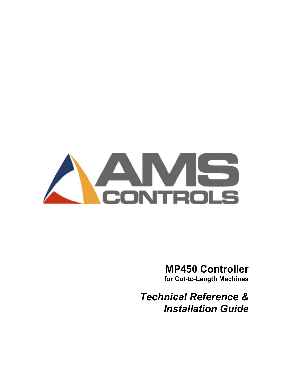

# MP450 Controller

for Cut-to-Length Machines

Technical Reference & Installation Guide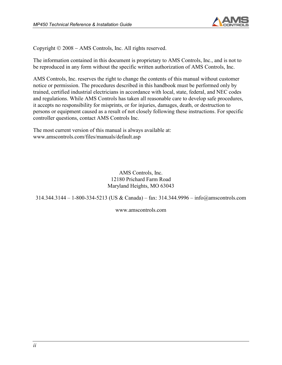

Copyright © 2008 – AMS Controls, Inc. All rights reserved.

The information contained in this document is proprietary to AMS Controls, Inc., and is not to be reproduced in any form without the specific written authorization of AMS Controls, Inc.

AMS Controls, Inc. reserves the right to change the contents of this manual without customer notice or permission. The procedures described in this handbook must be performed only by trained, certified industrial electricians in accordance with local, state, federal, and NEC codes and regulations. While AMS Controls has taken all reasonable care to develop safe procedures, it accepts no responsibility for misprints, or for injuries, damages, death, or destruction to persons or equipment caused as a result of not closely following these instructions. For specific controller questions, contact AMS Controls Inc.

The most current version of this manual is always available at: www.amscontrols.com/files/manuals/default.asp

> AMS Controls, Inc. 12180 Prichard Farm Road Maryland Heights, MO 63043

314.344.3144 – 1-800-334-5213 (US & Canada) – fax: 314.344.9996 – info@amscontrols.com

www.amscontrols.com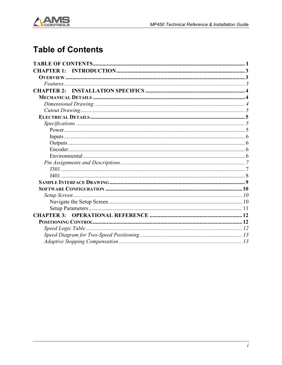

# **Table of Contents**

| <b>CHAPTER 1:</b> |  |
|-------------------|--|
|                   |  |
|                   |  |
|                   |  |
|                   |  |
|                   |  |
|                   |  |
|                   |  |
|                   |  |
|                   |  |
|                   |  |
|                   |  |
|                   |  |
|                   |  |
|                   |  |
|                   |  |
|                   |  |
|                   |  |
|                   |  |
|                   |  |
|                   |  |
|                   |  |
| <b>CHAPTER 3:</b> |  |
|                   |  |
|                   |  |
|                   |  |
|                   |  |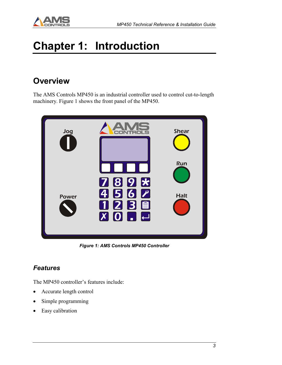

# Chapter 1: Introduction

## **Overview**

The AMS Controls MP450 is an industrial controller used to control cut-to-length machinery. Figure 1 shows the front panel of the MP450.



Figure 1: AMS Controls MP450 Controller

### Features

The MP450 controller's features include:

- Accurate length control
- Simple programming
- Easy calibration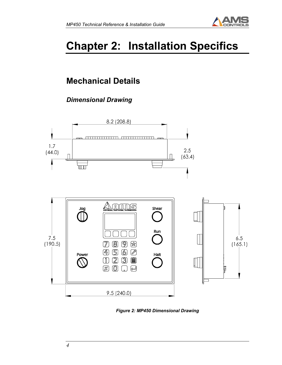

# Chapter 2: Installation Specifics

# Mechanical Details

## Dimensional Drawing





Figure 2: MP450 Dimensional Drawing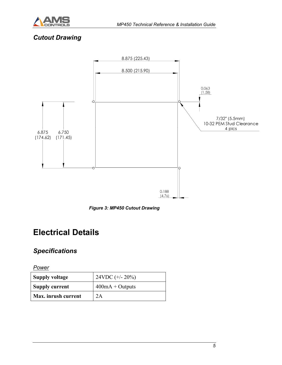

### Cutout Drawing



Figure 3: MP450 Cutout Drawing

## Electrical Details

### **Specifications**

**Power** 

| <b>Supply voltage</b> | 24VDC $(+/- 20\%)$ |
|-----------------------|--------------------|
| <b>Supply current</b> | $400mA + Outputs$  |
| Max. inrush current   | 2A                 |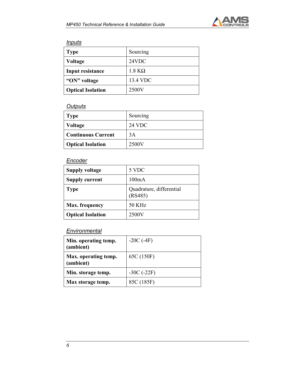

#### **Inputs**

| <b>Type</b>              | Sourcing      |
|--------------------------|---------------|
| <b>Voltage</b>           | 24VDC         |
| Input resistance         | $1.8 K\Omega$ |
| "ON" voltage             | 13.4 VDC      |
| <b>Optical Isolation</b> | 2500V         |

#### **Outputs**

| <b>Type</b>               | Sourcing      |
|---------------------------|---------------|
| <b>Voltage</b>            | <b>24 VDC</b> |
| <b>Continuous Current</b> | 3A            |
| <b>Optical Isolation</b>  | 2500V         |

#### **Encoder**

| <b>Supply voltage</b>    | 5 VDC                               |
|--------------------------|-------------------------------------|
| <b>Supply current</b>    | 100mA                               |
| <b>Type</b>              | Quadrature, differential<br>(RS485) |
| <b>Max.</b> frequency    | <b>50 KHz</b>                       |
| <b>Optical Isolation</b> | 2500V                               |

#### **Environmental**

| Min. operating temp.<br>(ambient) | $-20C$ (-4F)  |
|-----------------------------------|---------------|
| Max. operating temp.<br>(ambient) | 65C (150F)    |
| Min. storage temp.                | $-30C (-22F)$ |
| Max storage temp.                 | 85C (185F)    |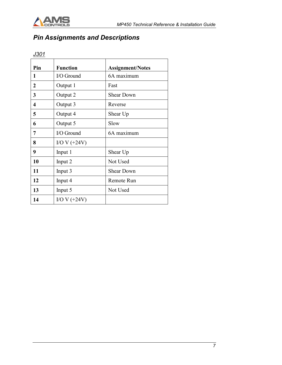

## Pin Assignments and Descriptions

### J301

| Pin | <b>Function</b> | <b>Assignment/Notes</b> |  |  |
|-----|-----------------|-------------------------|--|--|
| 1   | I/O Ground      | 6A maximum              |  |  |
| 2   | Output 1        | Fast                    |  |  |
| 3   | Output 2        | <b>Shear Down</b>       |  |  |
| 4   | Output 3        | Reverse                 |  |  |
| 5   | Output 4        | Shear Up                |  |  |
| 6   | Output 5        | Slow                    |  |  |
| 7   | I/O Ground      | 6A maximum              |  |  |
| 8   | $I/OV (+24V)$   |                         |  |  |
| 9   | Input 1         | Shear Up                |  |  |
| 10  | Input 2         | Not Used                |  |  |
| 11  | Input 3         | <b>Shear Down</b>       |  |  |
| 12  | Input 4         | Remote Run              |  |  |
| 13  | Input 5         | Not Used                |  |  |
| 14  | I/O V $(+24V)$  |                         |  |  |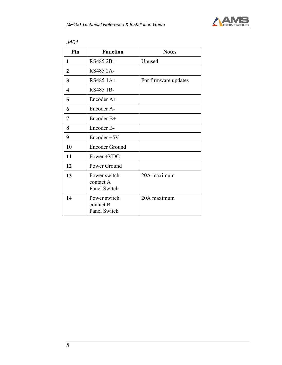

| Pin          | <b>Function</b>                           | <b>Notes</b>         |
|--------------|-------------------------------------------|----------------------|
| 1            | RS485 2B+                                 | Unused               |
| $\mathbf{2}$ | RS485 2A-                                 |                      |
| 3            | RS485 1A+                                 | For firmware updates |
| 4            | <b>RS485 1B-</b>                          |                      |
| 5            | Encoder A+                                |                      |
| 6            | Encoder A-                                |                      |
| 7            | Encoder B+                                |                      |
| 8            | Encoder B-                                |                      |
| 9            | Encoder +5V                               |                      |
| 10           | <b>Encoder Ground</b>                     |                      |
| 11           | Power +VDC                                |                      |
| 12           | Power Ground                              |                      |
| 13           | Power switch<br>contact A<br>Panel Switch | 20A maximum          |
| 14           | Power switch<br>contact B<br>Panel Switch | 20A maximum          |

J401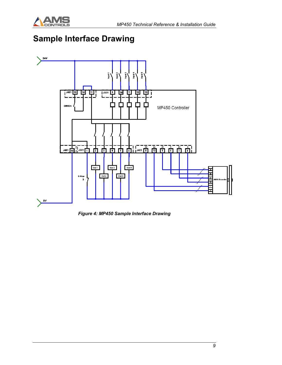

# Sample Interface Drawing



Figure 4: MP450 Sample Interface Drawing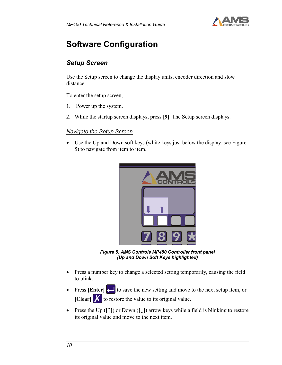

# Software Configuration

### Setup Screen

Use the Setup screen to change the display units, encoder direction and slow distance.

To enter the setup screen,

- 1. Power up the system.
- 2. While the startup screen displays, press [9]. The Setup screen displays.

#### Navigate the Setup Screen

• Use the Up and Down soft keys (white keys just below the display, see Figure 5) to navigate from item to item.



Figure 5: AMS Controls MP450 Controller front panel (Up and Down Soft Keys highlighted)

- Press a number key to change a selected setting temporarily, causing the field to blink.
- Press [Enter]  $\Box$  to save the new setting and move to the next setup item, or  $\begin{bmatrix} \text{Clear} \\ \text{X} \end{bmatrix}$  to restore the value to its original value.
- Press the Up ([↑]) or Down ([↓]) arrow keys while a field is blinking to restore its original value and move to the next item.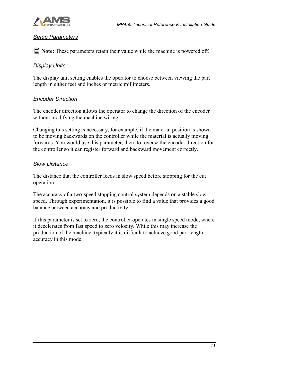

#### Setup Parameters

 $\Box$  Note: These parameters retain their value while the machine is powered off.

#### Display Units

The display unit setting enables the operator to choose between viewing the part length in either feet and inches or metric millimeters.

#### Encoder Direction

The encoder direction allows the operator to change the direction of the encoder without modifying the machine wiring.

Changing this setting is necessary, for example, if the material position is shown to be moving backwards on the controller while the material is actually moving forwards. You would use this parameter, then, to reverse the encoder direction for the controller so it can register forward and backward movement correctly.

#### Slow Distance

The distance that the controller feeds in slow speed before stopping for the cut operation.

The accuracy of a two-speed stopping control system depends on a stable slow speed. Through experimentation, it is possible to find a value that provides a good balance between accuracy and productivity.

If this parameter is set to zero, the controller operates in single speed mode, where it decelerates from fast speed to zero velocity. While this may increase the production of the machine, typically it is difficult to achieve good part length accuracy in this mode.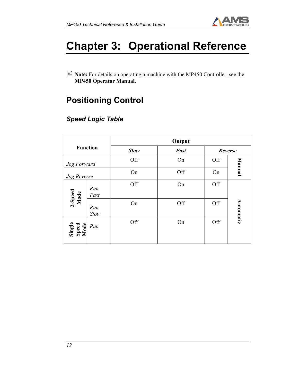

# Chapter 3: Operational Reference

■ Note: For details on operating a machine with the MP450 Controller, see the MP450 Operator Manual.

# Positioning Control

### Speed Logic Table

|                         |                 | Output              |     |     |           |  |
|-------------------------|-----------------|---------------------|-----|-----|-----------|--|
|                         | <b>Function</b> | Fast<br><b>Slow</b> |     |     | Reverse   |  |
| Jog Forward             |                 | Off                 | On  | Off | Manual    |  |
| Jog Reverse             |                 | On                  | Off | On  |           |  |
| 2-Speed<br>Mode         | Run<br>Fast     | Off                 | On  | Off |           |  |
|                         | Run<br>Slow     | On                  | Off | Off | Automatic |  |
| Single<br>Speed<br>Mode | Run             | Off                 | On  | Off |           |  |